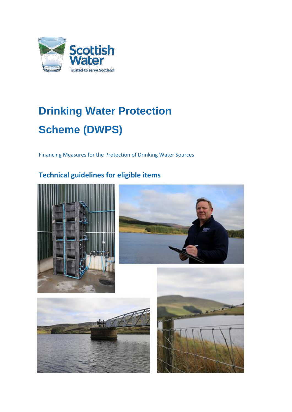

# **Drinking Water Protection Scheme (DWPS)**

Financing Measures for the Protection of Drinking Water Sources

## **Technical guidelines for eligible items**







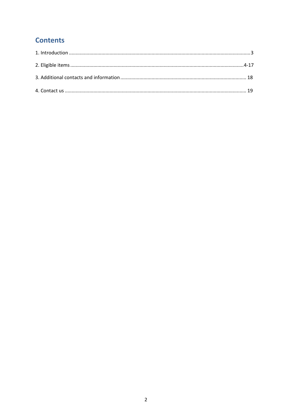## **Contents**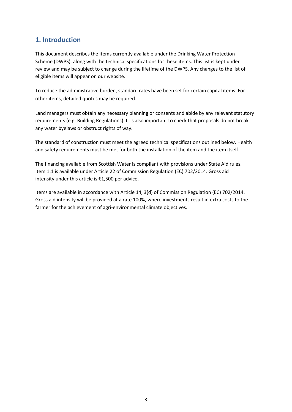## **1. Introduction**

This document describes the items currently available under the Drinking Water Protection Scheme (DWPS), along with the technical specifications for these items. This list is kept under review and may be subject to change during the lifetime of the DWPS. Any changes to the list of eligible items will appear on our website.

To reduce the administrative burden, standard rates have been set for certain capital items. For other items, detailed quotes may be required.

Land managers must obtain any necessary planning or consents and abide by any relevant statutory requirements (e.g. Building Regulations). It is also important to check that proposals do not break any water byelaws or obstruct rights of way.

The standard of construction must meet the agreed technical specifications outlined below. Health and safety requirements must be met for both the installation of the item and the item itself.

The financing available from Scottish Water is compliant with provisions under State Aid rules. Item 1.1 is available under Article 22 of Commission Regulation (EC) 702/2014. Gross aid intensity under this article is €1,500 per advice.

Items are available in accordance with Article 14, 3(d) of Commission Regulation (EC) 702/2014. Gross aid intensity will be provided at a rate 100%, where investments result in extra costs to the farmer for the achievement of agri-environmental climate objectives.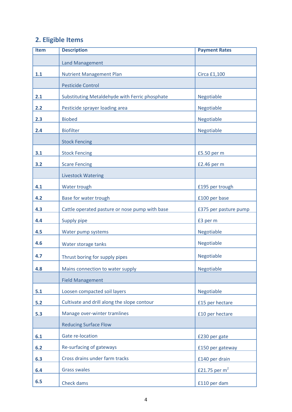# **2. Eligible Items**

| <b>Item</b> | <b>Description</b>                             | <b>Payment Rates</b>  |
|-------------|------------------------------------------------|-----------------------|
|             | <b>Land Management</b>                         |                       |
| 1.1         | <b>Nutrient Management Plan</b>                | Circa £1,100          |
|             | <b>Pesticide Control</b>                       |                       |
| 2.1         | Substituting Metaldehyde with Ferric phosphate | Negotiable            |
| 2.2         | Pesticide sprayer loading area                 | Negotiable            |
| 2.3         | <b>Biobed</b>                                  | Negotiable            |
| 2.4         | <b>Biofilter</b>                               | Negotiable            |
|             | <b>Stock Fencing</b>                           |                       |
| 3.1         | <b>Stock Fencing</b>                           | £5.50 per m           |
| 3.2         | <b>Scare Fencing</b>                           | £2.46 per m           |
|             | <b>Livestock Watering</b>                      |                       |
| 4.1         | Water trough                                   | £195 per trough       |
| 4.2         | Base for water trough                          | £100 per base         |
| 4.3         | Cattle operated pasture or nose pump with base | £375 per pasture pump |
| 4.4         | <b>Supply pipe</b>                             | £3 per m              |
| 4.5         | Water pump systems                             | Negotiable            |
| 4.6         | Water storage tanks                            | Negotiable            |
| 4.7         | Thrust boring for supply pipes                 | <b>Negotiable</b>     |
| 4.8         | Mains connection to water supply               | Negotiable            |
|             | <b>Field Management</b>                        |                       |
| 5.1         | Loosen compacted soil layers                   | Negotiable            |
| 5.2         | Cultivate and drill along the slope contour    | £15 per hectare       |
| 5.3         | Manage over-winter tramlines                   | £10 per hectare       |
|             | <b>Reducing Surface Flow</b>                   |                       |
| 6.1         | Gate re-location                               | £230 per gate         |
| 6.2         | Re-surfacing of gateways                       | £150 per gateway      |
| 6.3         | Cross drains under farm tracks                 | £140 per drain        |
| 6.4         | <b>Grass swales</b>                            | £21.75 per $m2$       |
| 6.5         | Check dams                                     | £110 per dam          |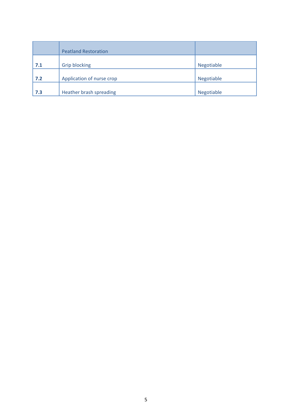|     | <b>Peatland Restoration</b> |                   |
|-----|-----------------------------|-------------------|
| 7.1 | <b>Grip blocking</b>        | <b>Negotiable</b> |
| 7.2 | Application of nurse crop   | Negotiable        |
| 7.3 | Heather brash spreading     | Negotiable        |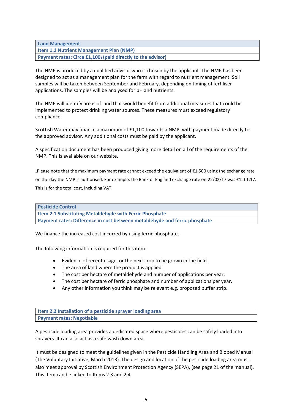**Land Management Item 1.1 Nutrient Management Plan (NMP) Payment rates: Circa £1,100<sup>1</sup> (paid directly to the advisor)** 

The NMP is produced by a qualified advisor who is chosen by the applicant. The NMP has been designed to act as a management plan for the farm with regard to nutrient management. Soil samples will be taken between September and February, depending on timing of fertiliser applications. The samples will be analysed for pH and nutrients.

The NMP will identify areas of land that would benefit from additional measures that could be implemented to protect drinking water sources. These measures must exceed regulatory compliance.

Scottish Water may finance a maximum of £1,100 towards a NMP, with payment made directly to the approved advisor. Any additional costs must be paid by the applicant.

A specification document has been produced giving more detail on all of the requirements of the NMP. This is available on our website.

<sup>1</sup>Please note that the maximum payment rate cannot exceed the equivalent of €1,500 using the exchange rate on the day the NMP is authorised. For example, the Bank of England exchange rate on 22/02/17 was £1=€1.17. This is for the total cost, including VAT.

| <b>Pesticide Control</b>                                                   |
|----------------------------------------------------------------------------|
| Item 2.1 Substituting Metaldehyde with Ferric Phosphate                    |
| Payment rates: Difference in cost between metaldehyde and ferric phosphate |

We finance the increased cost incurred by using ferric phosphate.

The following information is required for this item:

- Evidence of recent usage, or the next crop to be grown in the field.
- The area of land where the product is applied.
- The cost per hectare of metaldehyde and number of applications per year.
- The cost per hectare of ferric phosphate and number of applications per year.
- Any other information you think may be relevant e.g. proposed buffer strip.

**Item 2.2 Installation of a pesticide sprayer loading area Payment rates: Negotiable**

A pesticide loading area provides a dedicated space where pesticides can be safely loaded into sprayers. It can also act as a safe wash down area.

It must be designed to meet the guidelines given in the Pesticide Handling Area and Biobed Manual (The Voluntary Initiative, March 2013). The design and location of the pesticide loading area must also meet approval by Scottish Environment Protection Agency (SEPA), (see page 21 of the manual). This Item can be linked to Items 2.3 and 2.4.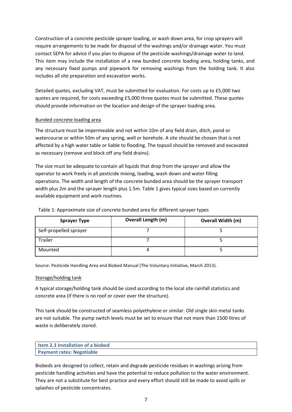Construction of a concrete pesticide sprayer loading, or wash down area, for crop sprayers will require arrangements to be made for disposal of the washings and/or drainage water. You must contact SEPA for advice if you plan to dispose of the pesticide washings/drainage water to land. This item may include the installation of a new bunded concrete loading area, holding tanks, and any necessary fixed pumps and pipework for removing washings from the holding tank. It also includes all site preparation and excavation works.

Detailed quotes, excluding VAT, must be submitted for evaluation. For costs up to £5,000 two quotes are required, for costs exceeding £5,000 three quotes must be submitted. These quotes should provide information on the location and design of the sprayer loading area.

#### Bunded concrete loading area

The structure must be impermeable and not within 10m of any field drain, ditch, pond or watercourse or within 50m of any spring, well or borehole. A site should be chosen that is not affected by a high water table or liable to flooding. The topsoil should be removed and excavated as necessary (remove and block off any field drains).

The size must be adequate to contain all liquids that drop from the sprayer and allow the operator to work freely in all pesticide mixing, loading, wash down and water filling operations. The width and length of the concrete bunded area should be the sprayer transport width plus 2m and the sprayer length plus 1.5m. Table 1 gives typical sizes based on currently available equipment and work routines.

| <b>Sprayer Type</b>    | <b>Overall Length (m)</b> | <b>Overall Width (m)</b> |
|------------------------|---------------------------|--------------------------|
| Self-propelled sprayer |                           |                          |
| Trailer                |                           |                          |
| Mounted                |                           |                          |

Table 1: Approximate size of concrete bunded area for different sprayer types

Source: Pesticide Handling Area and Biobed Manual (The Voluntary Initiative, March 2013).

#### Storage/holding tank

A typical storage/holding tank should be sized according to the local site rainfall statistics and concrete area (if there is no roof or cover over the structure).

This tank should be constructed of seamless polyethylene or similar. Old single skin metal tanks are not suitable. The pump switch levels must be set to ensure that not more than 1500 litres of waste is deliberately stored.

| Item 2.3 Installation of a biobed |  |
|-----------------------------------|--|
| <b>Payment rates: Negotiable</b>  |  |

Biobeds are designed to collect, retain and degrade pesticide residues in washings arising from pesticide handling activities and have the potential to reduce pollution to the water environment. They are not a substitute for best practice and every effort should still be made to avoid spills or splashes of pesticide concentrates.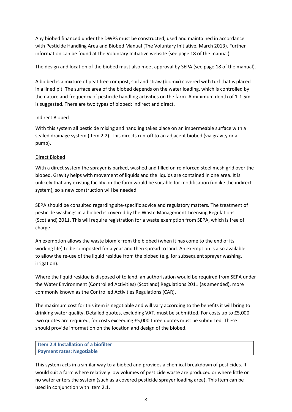Any biobed financed under the DWPS must be constructed, used and maintained in accordance with Pesticide Handling Area and Biobed Manual (The Voluntary Initiative, March 2013). Further information can be found at the Voluntary Initiative website (see page 18 of the manual).

The design and location of the biobed must also meet approval by SEPA (see page 18 of the manual).

A biobed is a mixture of peat free compost, soil and straw (biomix) covered with turf that is placed in a lined pit. The surface area of the biobed depends on the water loading, which is controlled by the nature and frequency of pesticide handling activities on the farm. A minimum depth of 1-1.5m is suggested. There are two types of biobed; indirect and direct.

#### Indirect Biobed

With this system all pesticide mixing and handling takes place on an impermeable surface with a sealed drainage system (Item 2.2). This directs run-off to an adjacent biobed (via gravity or a pump).

#### Direct Biobed

With a direct system the sprayer is parked, washed and filled on reinforced steel mesh grid over the biobed. Gravity helps with movement of liquids and the liquids are contained in one area. It is unlikely that any existing facility on the farm would be suitable for modification (unlike the indirect system), so a new construction will be needed.

SEPA should be consulted regarding site-specific advice and regulatory matters. The treatment of pesticide washings in a biobed is covered by the Waste Management Licensing Regulations (Scotland) 2011. This will require registration for a waste exemption from SEPA, which is free of charge.

An exemption allows the waste biomix from the biobed (when it has come to the end of its working life) to be composted for a year and then spread to land. An exemption is also available to allow the re-use of the liquid residue from the biobed (e.g. for subsequent sprayer washing, irrigation).

Where the liquid residue is disposed of to land, an authorisation would be required from SEPA under the Water Environment (Controlled Activities) (Scotland) Regulations 2011 (as amended), more commonly known as the Controlled Activities Regulations (CAR).

The maximum cost for this item is negotiable and will vary according to the benefits it will bring to drinking water quality. Detailed quotes, excluding VAT, must be submitted. For costs up to £5,000 two quotes are required, for costs exceeding £5,000 three quotes must be submitted. These should provide information on the location and design of the biobed.

```
Item 2.4 Installation of a biofilter
Payment rates: Negotiable
```
This system acts in a similar way to a biobed and provides a chemical breakdown of pesticides. It would suit a farm where relatively low volumes of pesticide waste are produced or where little or no water enters the system (such as a covered pesticide sprayer loading area). This Item can be used in conjunction with Item 2.1.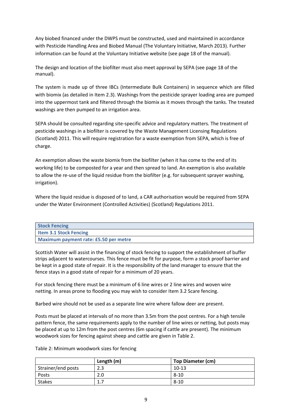Any biobed financed under the DWPS must be constructed, used and maintained in accordance with Pesticide Handling Area and Biobed Manual (The Voluntary Initiative, March 2013). Further information can be found at the Voluntary Initiative website (see page 18 of the manual).

The design and location of the biofilter must also meet approval by SEPA (see page 18 of the manual).

The system is made up of three IBCs (Intermediate Bulk Containers) in sequence which are filled with biomix (as detailed in Item 2.3). Washings from the pesticide sprayer loading area are pumped into the uppermost tank and filtered through the biomix as it moves through the tanks. The treated washings are then pumped to an irrigation area.

SEPA should be consulted regarding site-specific advice and regulatory matters. The treatment of pesticide washings in a biofilter is covered by the Waste Management Licensing Regulations (Scotland) 2011. This will require registration for a waste exemption from SEPA, which is free of charge.

An exemption allows the waste biomix from the biofilter (when it has come to the end of its working life) to be composted for a year and then spread to land. An exemption is also available to allow the re-use of the liquid residue from the biofilter (e.g. for subsequent sprayer washing, irrigation).

Where the liquid residue is disposed of to land, a CAR authorisation would be required from SEPA under the Water Environment (Controlled Activities) (Scotland) Regulations 2011.

| <b>Stock Fencing</b>                  |
|---------------------------------------|
| <b>Item 3.1 Stock Fencing</b>         |
| Maximum payment rate: £5.50 per metre |

Scottish Water will assist in the financing of stock fencing to support the establishment of buffer strips adjacent to watercourses. This fence must be fit for purpose, form a stock proof barrier and be kept in a good state of repair. It is the responsibility of the land manager to ensure that the fence stays in a good state of repair for a minimum of 20 years.

For stock fencing there must be a minimum of 6 line wires or 2 line wires and woven wire netting. In areas prone to flooding you may wish to consider Item 3.2 Scare fencing.

Barbed wire should not be used as a separate line wire where fallow deer are present.

Posts must be placed at intervals of no more than 3.5m from the post centres. For a high tensile pattern fence, the same requirements apply to the number of line wires or netting, but posts may be placed at up to 12m from the post centres (6m spacing if cattle are present). The minimum woodwork sizes for fencing against sheep and cattle are given in Table 2.

|                    | Length (m) | <b>Top Diameter (cm)</b> |
|--------------------|------------|--------------------------|
| Strainer/end posts | 2.3        | $10-13$                  |
| Posts              | 2.0        | $8 - 10$                 |
| <b>Stakes</b>      | 1. I       | $8 - 10$                 |

Table 2: Minimum woodwork sizes for fencing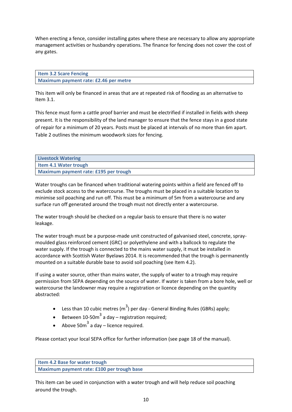When erecting a fence, consider installing gates where these are necessary to allow any appropriate management activities or husbandry operations. The finance for fencing does not cover the cost of any gates.

| <b>Item 3.2 Scare Fencing</b>         |  |
|---------------------------------------|--|
| Maximum payment rate: £2.46 per metre |  |

This item will only be financed in areas that are at repeated risk of flooding as an alternative to Item 3.1.

This fence must form a cattle proof barrier and must be electrified if installed in fields with sheep present. It is the responsibility of the land manager to ensure that the fence stays in a good state of repair for a minimum of 20 years. Posts must be placed at intervals of no more than 6m apart. Table 2 outlines the minimum woodwork sizes for fencing.

| <b>Livestock Watering</b>             |
|---------------------------------------|
| <b>Item 4.1 Water trough</b>          |
| Maximum payment rate: £195 per trough |

Water troughs can be financed when traditional watering points within a field are fenced off to exclude stock access to the watercourse. The troughs must be placed in a suitable location to minimise soil poaching and run off. This must be a minimum of 5m from a watercourse and any surface run off generated around the trough must not directly enter a watercourse.

The water trough should be checked on a regular basis to ensure that there is no water leakage.

The water trough must be a purpose-made unit constructed of galvanised steel, concrete, spraymoulded glass reinforced cement (GRC) or polyethylene and with a ballcock to regulate the water supply. If the trough is connected to the mains water supply, it must be installed in accordance with Scottish Water Byelaws 2014. It is recommended that the trough is permanently mounted on a suitable durable base to avoid soil poaching (see Item 4.2).

If using a water source, other than mains water, the supply of water to a trough may require permission from SEPA depending on the source of water. If water is taken from a bore hole, well or watercourse the landowner may require a registration or licence depending on the quantity abstracted:

- Less than 10 cubic metres (m<sup>3</sup>) per day General Binding Rules (GBRs) apply;
- Between 10-50 $m^3$  a day registration required;
- Above 50 $m^3$  a day licence required.

Please contact your local SEPA office for further information (see page 18 of the manual).

**Item 4.2 Base for water trough Maximum payment rate: £100 per trough base**

This item can be used in conjunction with a water trough and will help reduce soil poaching around the trough.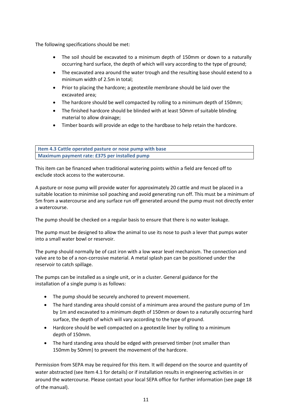The following specifications should be met:

- The soil should be excavated to a minimum depth of 150mm or down to a naturally occurring hard surface, the depth of which will vary according to the type of ground;
- The excavated area around the water trough and the resulting base should extend to a minimum width of 2.5m in total;
- Prior to placing the hardcore; a geotextile membrane should be laid over the excavated area;
- The hardcore should be well compacted by rolling to a minimum depth of 150mm;
- The finished hardcore should be blinded with at least 50mm of suitable blinding material to allow drainage;
- Timber boards will provide an edge to the hardbase to help retain the hardcore.

**Item 4.3 Cattle operated pasture or nose pump with base Maximum payment rate: £375 per installed pump**

This item can be financed when traditional watering points within a field are fenced off to exclude stock access to the watercourse.

A pasture or nose pump will provide water for approximately 20 cattle and must be placed in a suitable location to minimise soil poaching and avoid generating run off. This must be a minimum of 5m from a watercourse and any surface run off generated around the pump must not directly enter a watercourse.

The pump should be checked on a regular basis to ensure that there is no water leakage.

The pump must be designed to allow the animal to use its nose to push a lever that pumps water into a small water bowl or reservoir.

The pump should normally be of cast iron with a low wear level mechanism. The connection and valve are to be of a non-corrosive material. A metal splash pan can be positioned under the reservoir to catch spillage.

The pumps can be installed as a single unit, or in a cluster. General guidance for the installation of a single pump is as follows:

- The pump should be securely anchored to prevent movement.
- The hard standing area should consist of a minimum area around the pasture pump of 1m by 1m and excavated to a minimum depth of 150mm or down to a naturally occurring hard surface, the depth of which will vary according to the type of ground.
- Hardcore should be well compacted on a geotextile liner by rolling to a minimum depth of 150mm.
- The hard standing area should be edged with preserved timber (not smaller than 150mm by 50mm) to prevent the movement of the hardcore.

Permission from SEPA may be required for this item. It will depend on the source and quantity of water abstracted (see Item 4.1 for details) or if installation results in engineering activities in or around the watercourse. Please contact your local SEPA office for further information (see page 18 of the manual).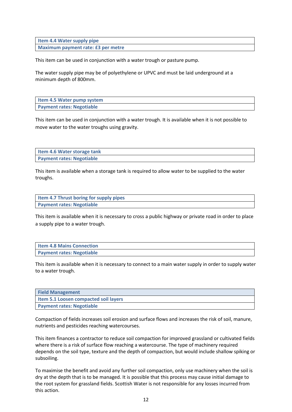**Item 4.4 Water supply pipe Maximum payment rate: £3 per metre**

This item can be used in conjunction with a water trough or pasture pump.

The water supply pipe may be of polyethylene or UPVC and must be laid underground at a minimum depth of 800mm.

| Item 4.5 Water pump system       |  |
|----------------------------------|--|
| <b>Payment rates: Negotiable</b> |  |

This item can be used in conjunction with a water trough. It is available when it is not possible to move water to the water troughs using gravity.

| Item 4.6 Water storage tank      |  |
|----------------------------------|--|
| <b>Payment rates: Negotiable</b> |  |

This item is available when a storage tank is required to allow water to be supplied to the water troughs.

| Item 4.7 Thrust boring for supply pipes |  |
|-----------------------------------------|--|
| <b>Payment rates: Negotiable</b>        |  |

This item is available when it is necessary to cross a public highway or private road in order to place a supply pipe to a water trough.

| <b>Item 4.8 Mains Connection</b> |  |
|----------------------------------|--|
| <b>Payment rates: Negotiable</b> |  |

This item is available when it is necessary to connect to a main water supply in order to supply water to a water trough.

| <b>Field Management</b>                      |
|----------------------------------------------|
| <b>Item 5.1 Loosen compacted soil layers</b> |
| <b>Payment rates: Negotiable</b>             |

Compaction of fields increases soil erosion and surface flows and increases the risk of soil, manure, nutrients and pesticides reaching watercourses.

This item finances a contractor to reduce soil compaction for improved grassland or cultivated fields where there is a risk of surface flow reaching a watercourse. The type of machinery required depends on the soil type, texture and the depth of compaction, but would include shallow spiking or subsoiling.

To maximise the benefit and avoid any further soil compaction, only use machinery when the soil is dry at the depth that is to be managed. It is possible that this process may cause initial damage to the root system for grassland fields. Scottish Water is not responsible for any losses incurred from this action.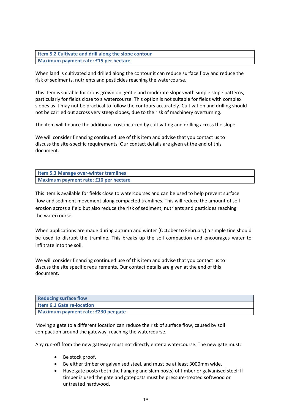**Item 5.2 Cultivate and drill along the slope contour Maximum payment rate: £15 per hectare**

When land is cultivated and drilled along the contour it can reduce surface flow and reduce the risk of sediments, nutrients and pesticides reaching the watercourse.

This item is suitable for crops grown on gentle and moderate slopes with simple slope patterns, particularly for fields close to a watercourse. This option is not suitable for fields with complex slopes as it may not be practical to follow the contours accurately. Cultivation and drilling should not be carried out across very steep slopes, due to the risk of machinery overturning.

The item will finance the additional cost incurred by cultivating and drilling across the slope.

We will consider financing continued use of this item and advise that you contact us to discuss the site-specific requirements. Our contact details are given at the end of this document.

| Item 5.3 Manage over-winter tramlines |  |
|---------------------------------------|--|
| Maximum payment rate: £10 per hectare |  |

This item is available for fields close to watercourses and can be used to help prevent surface flow and sediment movement along compacted tramlines. This will reduce the amount of soil erosion across a field but also reduce the risk of sediment, nutrients and pesticides reaching the watercourse.

When applications are made during autumn and winter (October to February) a simple tine should be used to disrupt the tramline. This breaks up the soil compaction and encourages water to infiltrate into the soil.

We will consider financing continued use of this item and advise that you contact us to discuss the site specific requirements. Our contact details are given at the end of this document.

| <b>Reducing surface flow</b>        |
|-------------------------------------|
| <b>Item 6.1 Gate re-location</b>    |
| Maximum payment rate: £230 per gate |

Moving a gate to a different location can reduce the risk of surface flow, caused by soil compaction around the gateway, reaching the watercourse.

Any run-off from the new gateway must not directly enter a watercourse. The new gate must:

- Be stock proof.
- Be either timber or galvanised steel, and must be at least 3000mm wide.
- Have gate posts (both the hanging and slam posts) of timber or galvanised steel; If timber is used the gate and gateposts must be pressure-treated softwood or untreated hardwood.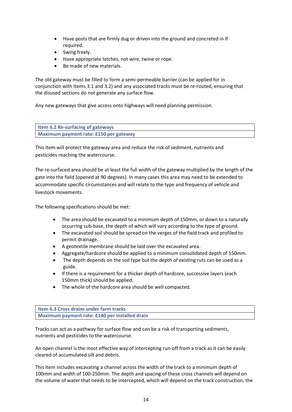- Have posts that are firmly dug or driven into the ground and concreted in if required.
- Swing freely.
- Have appropriate latches, not wire, twine or rope.
- Be made of new materials.

The old gateway must be filled to form a semi-permeable barrier (can be applied for in conjunction with Items 3.1 and 3.2) and any associated tracks must be re-routed, ensuring that the disused sections do not generate any surface flow.

Any new gateways that give access onto highways will need planning permission.

| <b>Item 6.2 Re-surfacing of gateways</b> |  |
|------------------------------------------|--|
| Maximum payment rate: £150 per gateway   |  |

This item will protect the gateway area and reduce the risk of sediment, nutrients and pesticides reaching the watercourse.

The re-surfaced area should be at least the full width of the gateway multiplied by the length of the gate into the field (opened at 90 degrees). In many cases this area may need to be extended to accommodate specific circumstances and will relate to the type and frequency of vehicle and livestock movements.

The following specifications should be met:

- The area should be excavated to a minimum depth of 150mm, or down to a naturally occurring sub-base, the depth of which will vary according to the type of ground.
- The excavated soil should be spread on the verges of the field track and profiled to permit drainage.
- A geotextile membrane should be laid over the excavated area.
- Aggregate/hardcore should be applied to a minimum consolidated depth of 150mm.
- The depth depends on the soil type but the depth of existing ruts can be used as a guide.
- If there is a requirement for a thicker depth of hardcore, successive layers (each 150mm thick) should be applied.
- The whole of the hardcore area should be well compacted.

**Item 6.3 Cross drains under farm tracks Maximum payment rate: £140 per installed drain**

Tracks can act as a pathway for surface flow and can be a risk of transporting sediments, nutrients and pesticides to the watercourse.

An open channel is the most effective way of intercepting run-off from a track as it can be easily cleared of accumulated silt and debris.

This item includes excavating a channel across the width of the track to a minimum depth of 100mm and width of 100-250mm. The depth and spacing of these cross channels will depend on the volume of water that needs to be intercepted, which will depend on the track construction, the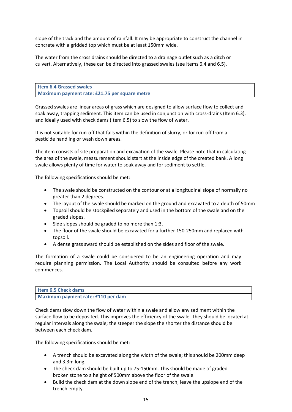slope of the track and the amount of rainfall. It may be appropriate to construct the channel in concrete with a gridded top which must be at least 150mm wide.

The water from the cross drains should be directed to a drainage outlet such as a ditch or culvert. Alternatively, these can be directed into grassed swales (see Items 6.4 and 6.5).

**Item 6.4 Grassed swales Maximum payment rate: £21.75 per square metre**

Grassed swales are linear areas of grass which are designed to allow surface flow to collect and soak away, trapping sediment. This item can be used in conjunction with cross-drains (Item 6.3), and ideally used with check dams (Item 6.5) to slow the flow of water.

It is not suitable for run-off that falls within the definition of slurry, or for run-off from a pesticide handling or wash down areas.

The item consists of site preparation and excavation of the swale. Please note that in calculating the area of the swale, measurement should start at the inside edge of the created bank. A long swale allows plenty of time for water to soak away and for sediment to settle.

The following specifications should be met:

- The swale should be constructed on the contour or at a longitudinal slope of normally no greater than 2 degrees.
- The layout of the swale should be marked on the ground and excavated to a depth of 50mm
- Topsoil should be stockpiled separately and used in the bottom of the swale and on the graded slopes.
- $\bullet$  Side slopes should be graded to no more than 1:3.
- The floor of the swale should be excavated for a further 150-250mm and replaced with topsoil.
- A dense grass sward should be established on the sides and floor of the swale.

The formation of a swale could be considered to be an engineering operation and may require planning permission. The Local Authority should be consulted before any work commences.

| <b>Item 6.5 Check dams</b>         |  |
|------------------------------------|--|
| Maximum payment rate: £110 per dam |  |

Check dams slow down the flow of water within a swale and allow any sediment within the surface flow to be deposited. This improves the efficiency of the swale. They should be located at regular intervals along the swale; the steeper the slope the shorter the distance should be between each check dam.

The following specifications should be met:

- A trench should be excavated along the width of the swale; this should be 200mm deep and 3.3m long.
- The check dam should be built up to 75-150mm. This should be made of graded broken stone to a height of 500mm above the floor of the swale.
- Build the check dam at the down slope end of the trench; leave the upslope end of the trench empty.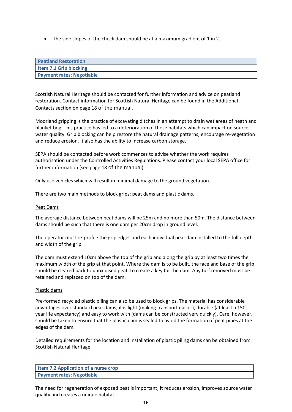• The side slopes of the check dam should be at a maximum gradient of 1 in 2.

| <b>Peatland Restoration</b>      |
|----------------------------------|
| Item 7.1 Grip blocking           |
| <b>Payment rates: Negotiable</b> |

Scottish Natural Heritage should be contacted for further information and advice on peatland restoration. Contact information for Scottish Natural Heritage can be found in the Additional Contacts section on page 18 of the manual.

Moorland gripping is the practice of excavating ditches in an attempt to drain wet areas of heath and blanket bog. This practice has led to a deterioration of these habitats which can impact on source water quality. Grip blocking can help restore the natural drainage patterns, encourage re-vegetation and reduce erosion. It also has the ability to increase carbon storage.

SEPA should be contacted before work commences to advise whether the work requires authorisation under the Controlled Activities Regulations. Please contact your local SEPA office for further information (see page 18 of the manual).

Only use vehicles which will result in minimal damage to the ground vegetation.

There are two main methods to block grips; peat dams and plastic dams.

#### Peat Dams

The average distance between peat dams will be 25m and no more than 50m. The distance between dams should be such that there is one dam per 20cm drop in ground level.

The operator must re-profile the grip edges and each individual peat dam installed to the full depth and width of the grip.

The dam must extend 10cm above the top of the grip and along the grip by at least two times the maximum width of the grip at that point. Where the dam is to be built, the face and base of the grip should be cleared back to unoxidised peat, to create a key for the dam. Any turf removed must be retained and replaced on top of the dam.

#### Plastic dams

Pre-formed recycled plastic piling can also be used to block grips. The material has considerable advantages over standard peat dams, it is light (making transport easier), durable (at least a 150 year life expectancy) and easy to work with (dams can be constructed very quickly). Care, however, should be taken to ensure that the plastic dam is sealed to avoid the formation of peat pipes at the edges of the dam.

Detailed requirements for the location and installation of plastic piling dams can be obtained from Scottish Natural Heritage.

| Item 7.2 Application of a nurse crop |  |
|--------------------------------------|--|
| <b>Payment rates: Negotiable</b>     |  |

The need for regeneration of exposed peat is important; it reduces erosion, improves source water quality and creates a unique habitat.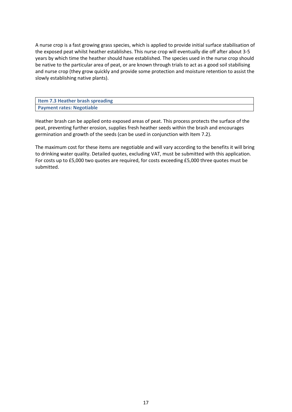A nurse crop is a fast growing grass species, which is applied to provide initial surface stabilisation of the exposed peat whilst heather establishes. This nurse crop will eventually die off after about 3-5 years by which time the heather should have established. The species used in the nurse crop should be native to the particular area of peat, or are known through trials to act as a good soil stabilising and nurse crop (they grow quickly and provide some protection and moisture retention to assist the slowly establishing native plants).

| Item 7.3 Heather brash spreading |  |
|----------------------------------|--|
| <b>Payment rates: Negotiable</b> |  |

Heather brash can be applied onto exposed areas of peat. This process protects the surface of the peat, preventing further erosion, supplies fresh heather seeds within the brash and encourages germination and growth of the seeds (can be used in conjunction with Item 7.2).

The maximum cost for these items are negotiable and will vary according to the benefits it will bring to drinking water quality. Detailed quotes, excluding VAT, must be submitted with this application. For costs up to £5,000 two quotes are required, for costs exceeding £5,000 three quotes must be submitted.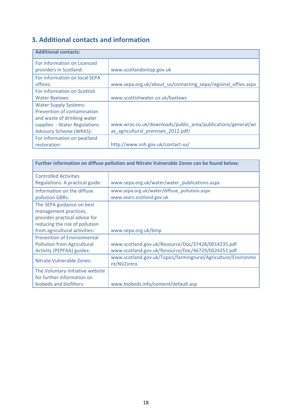# **3. Additional contacts and information**

| <b>Additional contacts:</b>                                                                                                                                  |                                                                                                    |
|--------------------------------------------------------------------------------------------------------------------------------------------------------------|----------------------------------------------------------------------------------------------------|
| For information on Licenced<br>providers in Scotland:                                                                                                        | www.scotlandontap.gov.uk                                                                           |
| For information on local SEPA<br>offices:                                                                                                                    | www.sepa.org.uk/about us/contacting sepa/regional offies.aspx                                      |
| For information on Scottish<br><b>Water Byelaws:</b>                                                                                                         | www.scottishwater.co.uk/byelaws                                                                    |
| <b>Water Supply Systems:</b><br>Prevention of contamination<br>and waste of drinking water<br>supplies - Water Regulations<br><b>Advisory Scheme (WRAS):</b> | www.wras.co.uk/downloads/public area/publications/general/wr<br>as agricultural premises 2012.pdf/ |
| For information on peatland<br>restoration:                                                                                                                  | http://www.snh.gov.uk/contact-us/                                                                  |

| Further information on diffuse pollution and Nitrate Vulnerable Zones can be found below: |                                                                              |
|-------------------------------------------------------------------------------------------|------------------------------------------------------------------------------|
| <b>Controlled Activities</b>                                                              |                                                                              |
| Regulations: A practical guide:                                                           | www.sepa.org.uk/water/water_publications.aspx                                |
| Information on the diffuse                                                                | www.sepa.org.uk/water/diffuse pollution.aspx                                 |
| pollution GBRs:                                                                           | www.sears.scotland.gov.uk                                                    |
| The SEPA guidance on best                                                                 |                                                                              |
| management practices,                                                                     |                                                                              |
| provides practical advice for                                                             |                                                                              |
| reducing the risk of pollution                                                            |                                                                              |
| from agricultural activities:                                                             | www.sepa.org.uk/bmp                                                          |
| <b>Prevention of Environmental</b>                                                        |                                                                              |
| <b>Pollution from Agricultural</b>                                                        | www.scotland.gov.uk/Resource/Doc/37428/0014235.pdf                           |
| Activity (PEPFAA) guides:                                                                 | www.scotland.gov.uk/Resource/Doc/46729/0024251.pdf                           |
| Nitrate Vulnerable Zones:                                                                 | www.scotland.gov.uk/Topics/farmingrural/Agriculture/Environme<br>nt/NVZintro |
| The Voluntary Initiative website                                                          |                                                                              |
| for further information on                                                                |                                                                              |
| biobeds and biofilters:                                                                   | www.biobeds.info/content/default.asp                                         |